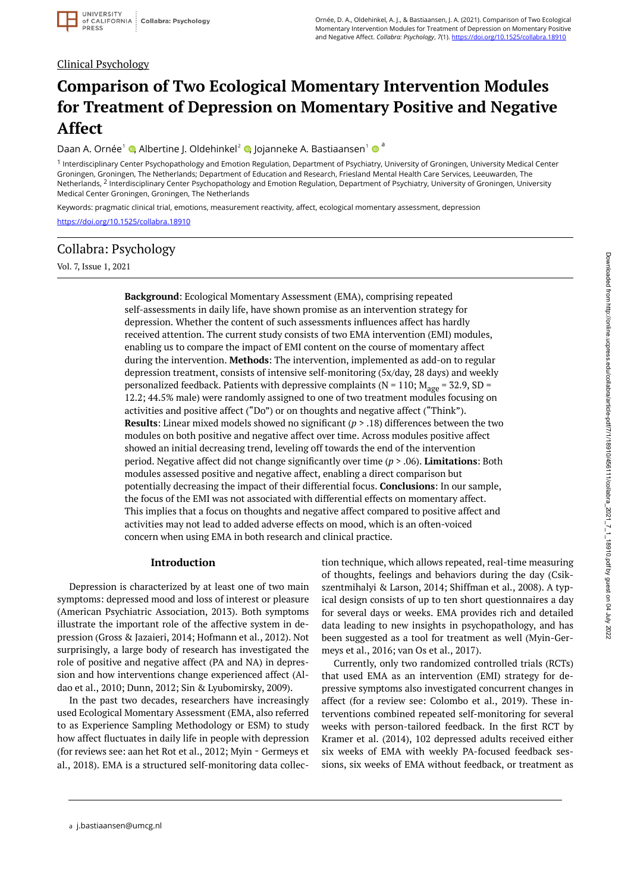### Clinical Psychology

# **Comparison of Two Ecological Momentary Intervention Modules for Treatment of Depression on Momentary Positive and Negative Affect**

Daan A. Ornée<sup>1</sup> ©[,](https://orcid.org/0000-0003-3925-3913) Albertine J. Oldehinkel<sup>2</sup> ©, Jojanneke A. Bastiaansen<sup>1</sup> © <sup>a</sup>

<sup>1</sup> Interdisciplinary Center Psychopathology and Emotion Regulation, Department of Psychiatry, University of Groningen, University Medical Center Groningen, Groningen, The Netherlands; Department of Education and Research, Friesland Mental Health Care Services, Leeuwarden, The Netherlands, <sup>2</sup> Interdisciplinary Center Psychopathology and Emotion Regulation, Department of Psychiatry, University of Groningen, University Medical Center Groningen, Groningen, The Netherlands

Keywords: pragmatic clinical trial, emotions, measurement reactivity, affect, ecological momentary assessment, depression <https://doi.org/10.1525/collabra.18910>

### Collabra: Psychology

Vol. 7, Issue 1, 2021

**Background**: Ecological Momentary Assessment (EMA), comprising repeated self-assessments in daily life, have shown promise as an intervention strategy for depression. Whether the content of such assessments influences affect has hardly received attention. The current study consists of two EMA intervention (EMI) modules, enabling us to compare the impact of EMI content on the course of momentary affect during the intervention. **Methods**: The intervention, implemented as add-on to regular depression treatment, consists of intensive self-monitoring (5x/day, 28 days) and weekly personalized feedback. Patients with depressive complaints ( $N = 110$ ;  $M_{\text{age}} = 32.9$ , SD = 12.2; 44.5% male) were randomly assigned to one of two treatment modules focusing on activities and positive affect ("Do") or on thoughts and negative affect ("Think"). **Results**: Linear mixed models showed no significant (*p* > .18) differences between the two modules on both positive and negative affect over time. Across modules positive affect showed an initial decreasing trend, leveling off towards the end of the intervention period. Negative affect did not change significantly over time (*p* > .06). **Limitations**: Both modules assessed positive and negative affect, enabling a direct comparison but potentially decreasing the impact of their differential focus. **Conclusions**: In our sample, the focus of the EMI was not associated with differential effects on momentary affect. This implies that a focus on thoughts and negative affect compared to positive affect and activities may not lead to added adverse effects on mood, which is an often-voiced concern when using EMA in both research and clinical practice.

#### **Introduction**

Depression is characterized by at least one of two main symptoms: depressed mood and loss of interest or pleasure (American Psychiatric Association, 2013). Both symptoms illustrate the important role of the affective system in depression (Gross & Jazaieri, 2014; Hofmann et al., 2012). Not surprisingly, a large body of research has investigated the role of positive and negative affect (PA and NA) in depression and how interventions change experienced affect (Aldao et al., 2010; Dunn, 2012; Sin & Lyubomirsky, 2009).

In the past two decades, researchers have increasingly used Ecological Momentary Assessment (EMA, also referred to as Experience Sampling Methodology or ESM) to study how affect fluctuates in daily life in people with depression (for reviews see: aan het Rot et al., 2012; Myin‐Germeys et al., 2018). EMA is a structured self-monitoring data collection technique, which allows repeated, real-time measuring of thoughts, feelings and behaviors during the day (Csikszentmihalyi & Larson, 2014; Shiffman et al., 2008). A typical design consists of up to ten short questionnaires a day for several days or weeks. EMA provides rich and detailed data leading to new insights in psychopathology, and has been suggested as a tool for treatment as well (Myin-Germeys et al., 2016; van Os et al., 2017).

Currently, only two randomized controlled trials (RCTs) that used EMA as an intervention (EMI) strategy for depressive symptoms also investigated concurrent changes in affect (for a review see: Colombo et al., 2019). These interventions combined repeated self-monitoring for several weeks with person-tailored feedback. In the first RCT by Kramer et al. (2014), 102 depressed adults received either six weeks of EMA with weekly PA-focused feedback sessions, six weeks of EMA without feedback, or treatment as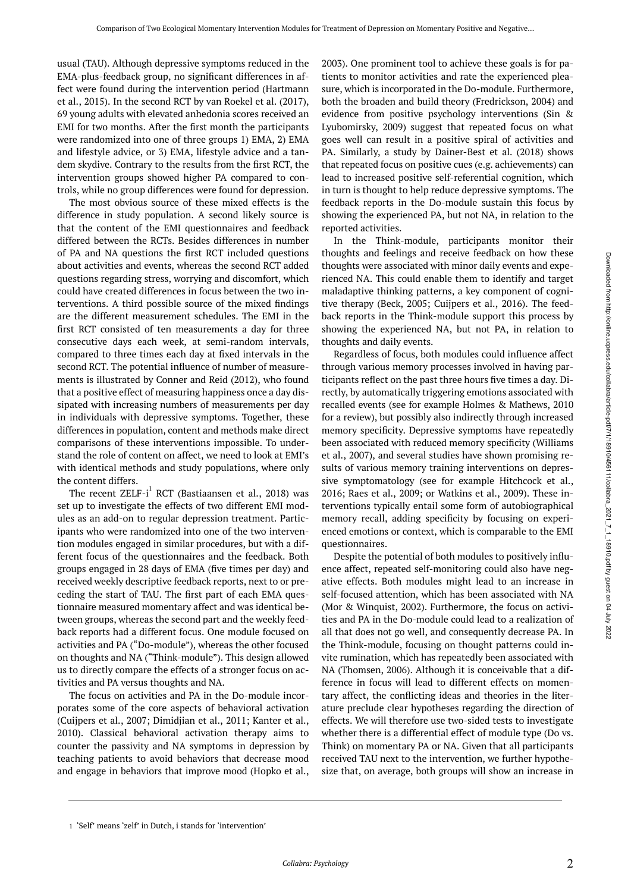usual (TAU). Although depressive symptoms reduced in the EMA-plus-feedback group, no significant differences in affect were found during the intervention period (Hartmann et al., 2015). In the second RCT by van Roekel et al. (2017), 69 young adults with elevated anhedonia scores received an EMI for two months. After the first month the participants were randomized into one of three groups 1) EMA, 2) EMA and lifestyle advice, or 3) EMA, lifestyle advice and a tandem skydive. Contrary to the results from the first RCT, the intervention groups showed higher PA compared to controls, while no group differences were found for depression.

The most obvious source of these mixed effects is the difference in study population. A second likely source is that the content of the EMI questionnaires and feedback differed between the RCTs. Besides differences in number of PA and NA questions the first RCT included questions about activities and events, whereas the second RCT added questions regarding stress, worrying and discomfort, which could have created differences in focus between the two interventions. A third possible source of the mixed findings are the different measurement schedules. The EMI in the first RCT consisted of ten measurements a day for three consecutive days each week, at semi-random intervals, compared to three times each day at fixed intervals in the second RCT. The potential influence of number of measurements is illustrated by Conner and Reid (2012), who found that a positive effect of measuring happiness once a day dissipated with increasing numbers of measurements per day in individuals with depressive symptoms. Together, these differences in population, content and methods make direct comparisons of these interventions impossible. To understand the role of content on affect, we need to look at EMI's with identical methods and study populations, where only the content differs.

The recent  $\text{ZELF-i}^1$  RCT (Bastiaansen et al., 2018) was set up to investigate the effects of two different EMI modules as an add-on to regular depression treatment. Participants who were randomized into one of the two intervention modules engaged in similar procedures, but with a different focus of the questionnaires and the feedback. Both groups engaged in 28 days of EMA (five times per day) and received weekly descriptive feedback reports, next to or preceding the start of TAU. The first part of each EMA questionnaire measured momentary affect and was identical between groups, whereas the second part and the weekly feedback reports had a different focus. One module focused on activities and PA ("Do-module"), whereas the other focused on thoughts and NA ("Think-module"). This design allowed us to directly compare the effects of a stronger focus on activities and PA versus thoughts and NA.

The focus on activities and PA in the Do-module incorporates some of the core aspects of behavioral activation (Cuijpers et al., 2007; Dimidjian et al., 2011; Kanter et al., 2010). Classical behavioral activation therapy aims to counter the passivity and NA symptoms in depression by teaching patients to avoid behaviors that decrease mood and engage in behaviors that improve mood (Hopko et al.,

2003). One prominent tool to achieve these goals is for patients to monitor activities and rate the experienced pleasure, which is incorporated in the Do-module. Furthermore, both the broaden and build theory (Fredrickson, 2004) and evidence from positive psychology interventions (Sin & Lyubomirsky, 2009) suggest that repeated focus on what goes well can result in a positive spiral of activities and PA. Similarly, a study by Dainer-Best et al. (2018) shows that repeated focus on positive cues (e.g. achievements) can lead to increased positive self-referential cognition, which in turn is thought to help reduce depressive symptoms. The feedback reports in the Do-module sustain this focus by showing the experienced PA, but not NA, in relation to the reported activities.

In the Think-module, participants monitor their thoughts and feelings and receive feedback on how these thoughts were associated with minor daily events and experienced NA. This could enable them to identify and target maladaptive thinking patterns, a key component of cognitive therapy (Beck, 2005; Cuijpers et al., 2016). The feedback reports in the Think-module support this process by showing the experienced NA, but not PA, in relation to thoughts and daily events.

Regardless of focus, both modules could influence affect through various memory processes involved in having participants reflect on the past three hours five times a day. Directly, by automatically triggering emotions associated with recalled events (see for example Holmes & Mathews, 2010 for a review), but possibly also indirectly through increased memory specificity. Depressive symptoms have repeatedly been associated with reduced memory specificity (Williams et al., 2007), and several studies have shown promising results of various memory training interventions on depressive symptomatology (see for example Hitchcock et al., 2016; Raes et al., 2009; or Watkins et al., 2009). These interventions typically entail some form of autobiographical memory recall, adding specificity by focusing on experienced emotions or context, which is comparable to the EMI questionnaires.

Despite the potential of both modules to positively influence affect, repeated self-monitoring could also have negative effects. Both modules might lead to an increase in self-focused attention, which has been associated with NA (Mor & Winquist, 2002). Furthermore, the focus on activities and PA in the Do-module could lead to a realization of all that does not go well, and consequently decrease PA. In the Think-module, focusing on thought patterns could invite rumination, which has repeatedly been associated with NA (Thomsen, 2006). Although it is conceivable that a difference in focus will lead to different effects on momentary affect, the conflicting ideas and theories in the literature preclude clear hypotheses regarding the direction of effects. We will therefore use two-sided tests to investigate whether there is a differential effect of module type (Do vs. Think) on momentary PA or NA. Given that all participants received TAU next to the intervention, we further hypothesize that, on average, both groups will show an increase in

<sup>1</sup> 'Self' means 'zelf' in Dutch, i stands for 'intervention'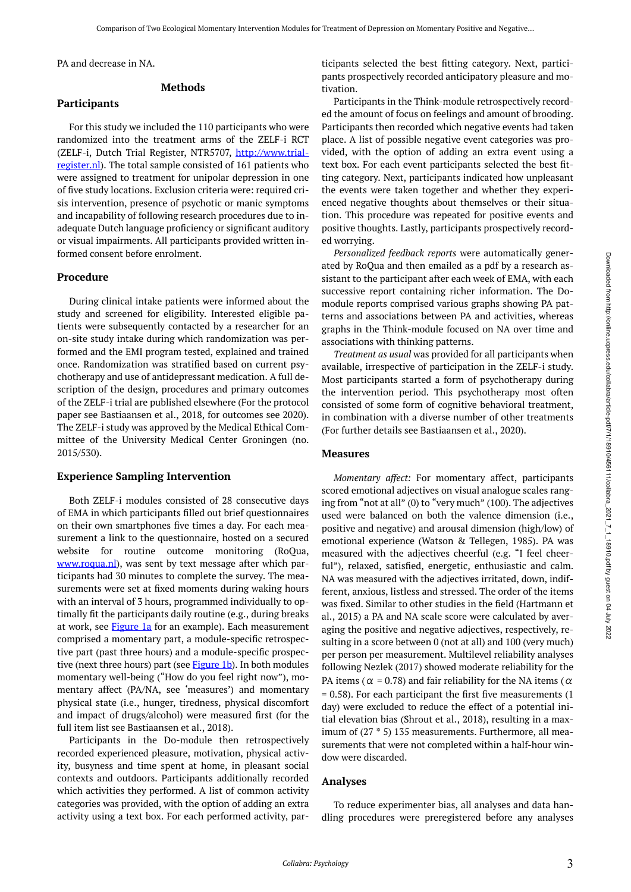PA and decrease in NA.

#### **Methods**

#### **Participants**

For this study we included the 110 participants who were randomized into the treatment arms of the ZELF-i RCT (ZELF-i, Dutch Trial Register, NTR5707, [http://www.trial](http://www.trialregister.nl/)[register.nl\)](http://www.trialregister.nl/). The total sample consisted of 161 patients who were assigned to treatment for unipolar depression in one of five study locations. Exclusion criteria were: required crisis intervention, presence of psychotic or manic symptoms and incapability of following research procedures due to inadequate Dutch language proficiency or significant auditory or visual impairments. All participants provided written informed consent before enrolment.

#### **Procedure**

During clinical intake patients were informed about the study and screened for eligibility. Interested eligible patients were subsequently contacted by a researcher for an on-site study intake during which randomization was performed and the EMI program tested, explained and trained once. Randomization was stratified based on current psychotherapy and use of antidepressant medication. A full description of the design, procedures and primary outcomes of the ZELF-i trial are published elsewhere (For the protocol paper see Bastiaansen et al., 2018, for outcomes see 2020). The ZELF-i study was approved by the Medical Ethical Committee of the University Medical Center Groningen (no. 2015/530).

#### **Experience Sampling Intervention**

Both ZELF-i modules consisted of 28 consecutive days of EMA in which participants filled out brief questionnaires on their own smartphones five times a day. For each measurement a link to the questionnaire, hosted on a secured website for routine outcome monitoring (RoQua, [www.roqua.nl\)](http://www.roqua.nl/), was sent by text message after which participants had 30 minutes to complete the survey. The measurements were set at fixed moments during waking hours with an interval of 3 hours, programmed individually to optimally fit the participants daily routine (e.g., during breaks at work, see [Figure 1a](#page-5-0) for an example). Each measurement comprised a momentary part, a module-specific retrospective part (past three hours) and a module-specific prospec-tive (next three hours) part (see [Figure 1b\)](#page-5-0). In both modules momentary well-being ("How do you feel right now"), momentary affect (PA/NA, see 'measures') and momentary physical state (i.e., hunger, tiredness, physical discomfort and impact of drugs/alcohol) were measured first (for the full item list see Bastiaansen et al., 2018).

Participants in the Do-module then retrospectively recorded experienced pleasure, motivation, physical activity, busyness and time spent at home, in pleasant social contexts and outdoors. Participants additionally recorded which activities they performed. A list of common activity categories was provided, with the option of adding an extra activity using a text box. For each performed activity, participants selected the best fitting category. Next, participants prospectively recorded anticipatory pleasure and motivation.

Participants in the Think-module retrospectively recorded the amount of focus on feelings and amount of brooding. Participants then recorded which negative events had taken place. A list of possible negative event categories was provided, with the option of adding an extra event using a text box. For each event participants selected the best fitting category. Next, participants indicated how unpleasant the events were taken together and whether they experienced negative thoughts about themselves or their situation. This procedure was repeated for positive events and positive thoughts. Lastly, participants prospectively recorded worrying.

*Personalized feedback reports* were automatically generated by RoQua and then emailed as a pdf by a research assistant to the participant after each week of EMA, with each successive report containing richer information. The Domodule reports comprised various graphs showing PA patterns and associations between PA and activities, whereas graphs in the Think-module focused on NA over time and associations with thinking patterns.

*Treatment as usual* was provided for all participants when available, irrespective of participation in the ZELF-i study. Most participants started a form of psychotherapy during the intervention period. This psychotherapy most often consisted of some form of cognitive behavioral treatment, in combination with a diverse number of other treatments (For further details see Bastiaansen et al., 2020).

#### **Measures**

*Momentary affect:* For momentary affect, participants scored emotional adjectives on visual analogue scales ranging from "not at all" (0) to "very much" (100). The adjectives used were balanced on both the valence dimension (i.e., positive and negative) and arousal dimension (high/low) of emotional experience (Watson & Tellegen, 1985). PA was measured with the adjectives cheerful (e.g. "I feel cheerful"), relaxed, satisfied, energetic, enthusiastic and calm. NA was measured with the adjectives irritated, down, indifferent, anxious, listless and stressed. The order of the items was fixed. Similar to other studies in the field (Hartmann et al., 2015) a PA and NA scale score were calculated by averaging the positive and negative adjectives, respectively, resulting in a score between 0 (not at all) and 100 (very much) per person per measurement. Multilevel reliability analyses following Nezlek (2017) showed moderate reliability for the PA items ( $\alpha$  = 0.78) and fair reliability for the NA items ( $\alpha$ = 0.58). For each participant the first five measurements (1 day) were excluded to reduce the effect of a potential initial elevation bias (Shrout et al., 2018), resulting in a maximum of (27 \* 5) 135 measurements. Furthermore, all measurements that were not completed within a half-hour window were discarded.

#### **Analyses**

To reduce experimenter bias, all analyses and data handling procedures were preregistered before any analyses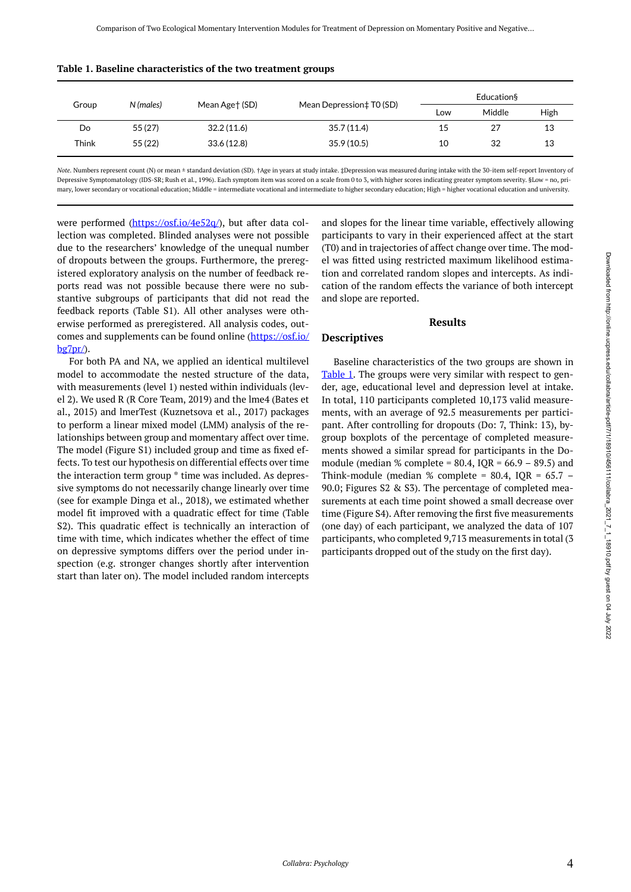|       |           |                |                          | Education§ |        |      |
|-------|-----------|----------------|--------------------------|------------|--------|------|
| Group | N (males) | Mean Age† (SD) | Mean Depression‡ T0 (SD) | Low        | Middle | High |
| Do    | 55 (27)   | 32.2(11.6)     | 35.7 (11.4)              | 15         | 27     | 13   |
| Think | 55 (22)   | 33.6(12.8)     | 35.9 (10.5)              | 10         | 32     | 13   |
|       |           |                |                          |            |        |      |

<span id="page-3-0"></span>

|  |  |  | Table 1. Baseline characteristics of the two treatment groups |
|--|--|--|---------------------------------------------------------------|
|--|--|--|---------------------------------------------------------------|

*Note.* Numbers represent count (N) or mean ± standard deviation (SD). †Age in years at study intake. ‡Depression was measured during intake with the 30-item self-report Inventory of Depressive Symptomatology (IDS-SR; Rush et al., 1996). Each symptom item was scored on a scale from 0 to 3, with higher scores indicating greater symptom severity. §Low = no, primary, lower secondary or vocational education; Middle = intermediate vocational and intermediate to higher secondary education; High = higher vocational education and university.

were performed ([https://osf.io/4e52q/\)](https://osf.io/4e52q/), but after data collection was completed. Blinded analyses were not possible due to the researchers' knowledge of the unequal number of dropouts between the groups. Furthermore, the preregistered exploratory analysis on the number of feedback reports read was not possible because there were no substantive subgroups of participants that did not read the feedback reports (Table S1). All other analyses were otherwise performed as preregistered. All analysis codes, outcomes and supplements can be found online ([https://osf.io/](https://osf.io/bg7pr/)  $b$ g7pr $\land$ .

For both PA and NA, we applied an identical multilevel model to accommodate the nested structure of the data, with measurements (level 1) nested within individuals (level 2). We used R (R Core Team, 2019) and the lme4 (Bates et al., 2015) and lmerTest (Kuznetsova et al., 2017) packages to perform a linear mixed model (LMM) analysis of the relationships between group and momentary affect over time. The model (Figure S1) included group and time as fixed effects. To test our hypothesis on differential effects over time the interaction term group \* time was included. As depressive symptoms do not necessarily change linearly over time (see for example Dinga et al., 2018), we estimated whether model fit improved with a quadratic effect for time (Table S2). This quadratic effect is technically an interaction of time with time, which indicates whether the effect of time on depressive symptoms differs over the period under inspection (e.g. stronger changes shortly after intervention start than later on). The model included random intercepts

and slopes for the linear time variable, effectively allowing participants to vary in their experienced affect at the start (T0) and in trajectories of affect change over time. The model was fitted using restricted maximum likelihood estimation and correlated random slopes and intercepts. As indication of the random effects the variance of both intercept and slope are reported.

#### **Results**

#### **Descriptives**

Baseline characteristics of the two groups are shown in [Table 1](#page-3-0). The groups were very similar with respect to gender, age, educational level and depression level at intake. In total, 110 participants completed 10,173 valid measurements, with an average of 92.5 measurements per participant. After controlling for dropouts (Do: 7, Think: 13), bygroup boxplots of the percentage of completed measurements showed a similar spread for participants in the Domodule (median % complete =  $80.4$ , IQR =  $66.9 - 89.5$ ) and Think-module (median % complete =  $80.4$ , IQR =  $65.7$  – 90.0; Figures S2 & S3). The percentage of completed measurements at each time point showed a small decrease over time (Figure S4). After removing the first five measurements (one day) of each participant, we analyzed the data of 107 participants, who completed 9,713 measurements in total (3 participants dropped out of the study on the first day).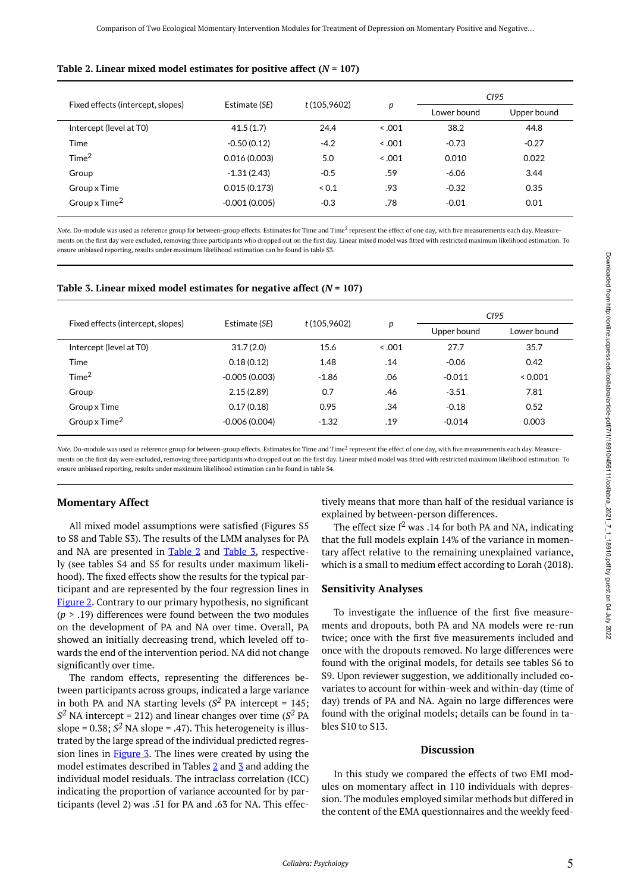#### <span id="page-4-0"></span>Table 2. Linear mixed model estimates for positive affect  $(N = 107)$

|                                   | Estimate (SE)   |             |       | CI95        |             |
|-----------------------------------|-----------------|-------------|-------|-------------|-------------|
| Fixed effects (intercept, slopes) |                 | t(105,9602) | р     | Lower bound | Upper bound |
| Intercept (level at T0)           | 41.5(1.7)       | 24.4        | 0.001 | 38.2        | 44.8        |
| Time                              | $-0.50(0.12)$   | $-4.2$      | 0.001 | $-0.73$     | $-0.27$     |
| Time <sup>2</sup>                 | 0.016(0.003)    | 5.0         | 0.001 | 0.010       | 0.022       |
| Group                             | $-1.31(2.43)$   | $-0.5$      | .59   | $-6.06$     | 3.44        |
| Group x Time                      | 0.015(0.173)    | 0.1         | .93   | $-0.32$     | 0.35        |
| Group x Time <sup>2</sup>         | $-0.001(0.005)$ | $-0.3$      | .78   | $-0.01$     | 0.01        |

Note. Do-module was used as reference group for between-group effects. Estimates for Time and Time<sup>2</sup> represent the effect of one day, with five measurements each day. Measurements on the first day were excluded, removing three participants who dropped out on the first day. Linear mixed model was fitted with restricted maximum likelihood estimation. To ensure unbiased reporting, results under maximum likelihood estimation can be found in table S3.

<span id="page-4-1"></span>

| Table 3. Linear mixed model estimates for negative affect $(N = 107)$ |  |  |  |  |
|-----------------------------------------------------------------------|--|--|--|--|
|-----------------------------------------------------------------------|--|--|--|--|

|                                   |                 | t(105,9602) |       | CI95        |             |
|-----------------------------------|-----------------|-------------|-------|-------------|-------------|
| Fixed effects (intercept, slopes) | Estimate (SE)   |             | р     | Upper bound | Lower bound |
| Intercept (level at T0)           | 31.7(2.0)       | 15.6        | 0.001 | 27.7        | 35.7        |
| Time                              | 0.18(0.12)      | 1.48        | .14   | $-0.06$     | 0.42        |
| Time <sup>2</sup>                 | $-0.005(0.003)$ | $-1.86$     | .06   | $-0.011$    | 0.001       |
| Group                             | 2.15(2.89)      | 0.7         | .46   | $-3.51$     | 7.81        |
| Group x Time                      | 0.17(0.18)      | 0.95        | .34   | $-0.18$     | 0.52        |
| Group x Time <sup>2</sup>         | $-0.006(0.004)$ | $-1.32$     | .19   | $-0.014$    | 0.003       |

Note. Do-module was used as reference group for between-group effects. Estimates for Time and Time<sup>2</sup> represent the effect of one day, with five measurements each day. Measurements on the first day were excluded, removing three participants who dropped out on the first day. Linear mixed model was fitted with restricted maximum likelihood estimation. To ensure unbiased reporting, results under maximum likelihood estimation can be found in table S4.

#### **Momentary Affect**

All mixed model assumptions were satisfied (Figures S5 to S8 and Table S3). The results of the LMM analyses for PA and NA are presented in [Table 2](#page-4-0) and [Table 3](#page-4-1), respectively (see tables S4 and S5 for results under maximum likelihood). The fixed effects show the results for the typical participant and are represented by the four regression lines in [Figure 2](#page-5-1). Contrary to our primary hypothesis, no significant (*p* > .19) differences were found between the two modules on the development of PA and NA over time. Overall, PA showed an initially decreasing trend, which leveled off towards the end of the intervention period. NA did not change significantly over time.

The random effects, representing the differences between participants across groups, indicated a large variance in both PA and NA starting levels ( $S<sup>2</sup>$  PA intercept = 145;  $S^2$  NA intercept = 212) and linear changes over time ( $S^2$  PA slope =  $0.38$ ;  $S^2$  NA slope = .47). This heterogeneity is illustrated by the large spread of the individual predicted regression lines in **Figure 3**. The lines were created by using the model estimates described in Tables  $2$  and  $3$  and adding the individual model residuals. The intraclass correlation (ICC) indicating the proportion of variance accounted for by participants (level 2) was .51 for PA and .63 for NA. This effectively means that more than half of the residual variance is explained by between-person differences.

The effect size  $f^2$  was .14 for both PA and NA, indicating that the full models explain 14% of the variance in momentary affect relative to the remaining unexplained variance, which is a small to medium effect according to Lorah (2018).

#### **Sensitivity Analyses**

To investigate the influence of the first five measurements and dropouts, both PA and NA models were re-run twice; once with the first five measurements included and once with the dropouts removed. No large differences were found with the original models, for details see tables S6 to S9. Upon reviewer suggestion, we additionally included covariates to account for within-week and within-day (time of day) trends of PA and NA. Again no large differences were found with the original models; details can be found in tables S10 to S13.

#### **Discussion**

In this study we compared the effects of two EMI modules on momentary affect in 110 individuals with depression. The modules employed similar methods but differed in the content of the EMA questionnaires and the weekly feed-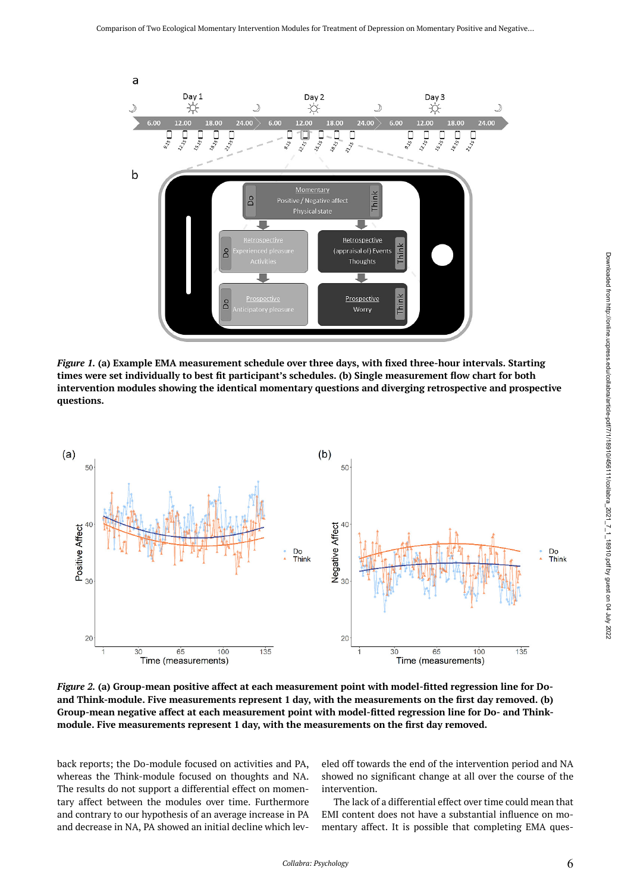<span id="page-5-0"></span>

*Figure 1.* **(a) Example EMA measurement schedule over three days, with fixed three-hour intervals. Starting times were set individually to best fit participant's schedules. (b) Single measurement flow chart for both intervention modules showing the identical momentary questions and diverging retrospective and prospective questions.** 

<span id="page-5-1"></span>

*Figure 2.* **(a) Group-mean positive affect at each measurement point with model-fitted regression line for Doand Think-module. Five measurements represent 1 day, with the measurements on the first day removed. (b) Group-mean negative affect at each measurement point with model-fitted regression line for Do- and Thinkmodule. Five measurements represent 1 day, with the measurements on the first day removed.** 

back reports; the Do-module focused on activities and PA, whereas the Think-module focused on thoughts and NA. The results do not support a differential effect on momentary affect between the modules over time. Furthermore and contrary to our hypothesis of an average increase in PA and decrease in NA, PA showed an initial decline which lev-

eled off towards the end of the intervention period and NA showed no significant change at all over the course of the intervention.

The lack of a differential effect over time could mean that EMI content does not have a substantial influence on momentary affect. It is possible that completing EMA ques-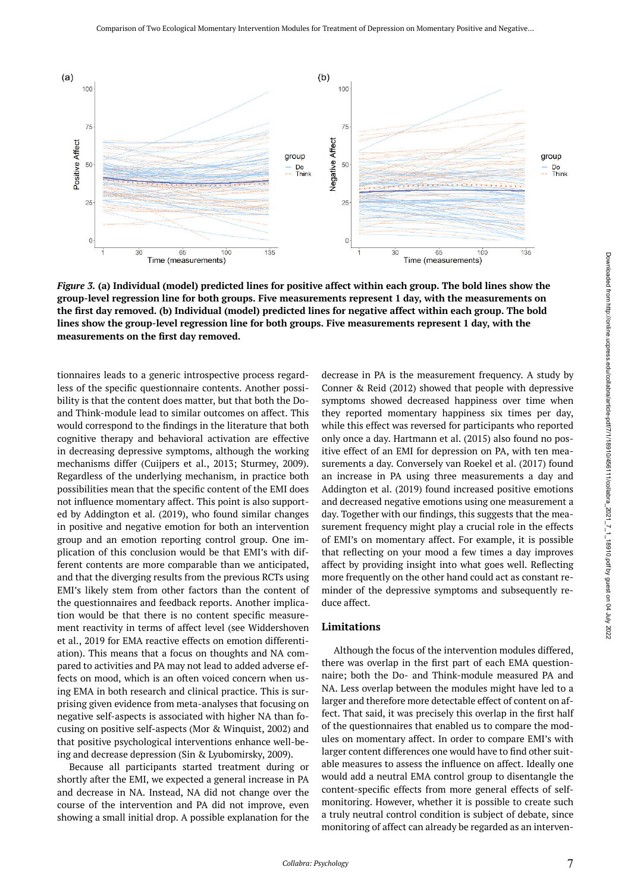<span id="page-6-0"></span>

*Figure 3.* **(a) Individual (model) predicted lines for positive affect within each group. The bold lines show the group-level regression line for both groups. Five measurements represent 1 day, with the measurements on the first day removed. (b) Individual (model) predicted lines for negative affect within each group. The bold lines show the group-level regression line for both groups. Five measurements represent 1 day, with the measurements on the first day removed.** 

tionnaires leads to a generic introspective process regardless of the specific questionnaire contents. Another possibility is that the content does matter, but that both the Doand Think-module lead to similar outcomes on affect. This would correspond to the findings in the literature that both cognitive therapy and behavioral activation are effective in decreasing depressive symptoms, although the working mechanisms differ (Cuijpers et al., 2013; Sturmey, 2009). Regardless of the underlying mechanism, in practice both possibilities mean that the specific content of the EMI does not influence momentary affect. This point is also supported by Addington et al. (2019), who found similar changes in positive and negative emotion for both an intervention group and an emotion reporting control group. One implication of this conclusion would be that EMI's with different contents are more comparable than we anticipated, and that the diverging results from the previous RCTs using EMI's likely stem from other factors than the content of the questionnaires and feedback reports. Another implication would be that there is no content specific measurement reactivity in terms of affect level (see Widdershoven et al., 2019 for EMA reactive effects on emotion differentiation). This means that a focus on thoughts and NA compared to activities and PA may not lead to added adverse effects on mood, which is an often voiced concern when using EMA in both research and clinical practice. This is surprising given evidence from meta-analyses that focusing on negative self-aspects is associated with higher NA than focusing on positive self-aspects (Mor & Winquist, 2002) and that positive psychological interventions enhance well-being and decrease depression (Sin & Lyubomirsky, 2009).

Because all participants started treatment during or shortly after the EMI, we expected a general increase in PA and decrease in NA. Instead, NA did not change over the course of the intervention and PA did not improve, even showing a small initial drop. A possible explanation for the decrease in PA is the measurement frequency. A study by Conner & Reid (2012) showed that people with depressive symptoms showed decreased happiness over time when they reported momentary happiness six times per day, while this effect was reversed for participants who reported only once a day. Hartmann et al. (2015) also found no positive effect of an EMI for depression on PA, with ten measurements a day. Conversely van Roekel et al. (2017) found an increase in PA using three measurements a day and Addington et al. (2019) found increased positive emotions and decreased negative emotions using one measurement a day. Together with our findings, this suggests that the measurement frequency might play a crucial role in the effects of EMI's on momentary affect. For example, it is possible that reflecting on your mood a few times a day improves affect by providing insight into what goes well. Reflecting more frequently on the other hand could act as constant reminder of the depressive symptoms and subsequently reduce affect.

#### **Limitations**

Although the focus of the intervention modules differed, there was overlap in the first part of each EMA questionnaire; both the Do- and Think-module measured PA and NA. Less overlap between the modules might have led to a larger and therefore more detectable effect of content on affect. That said, it was precisely this overlap in the first half of the questionnaires that enabled us to compare the modules on momentary affect. In order to compare EMI's with larger content differences one would have to find other suitable measures to assess the influence on affect. Ideally one would add a neutral EMA control group to disentangle the content-specific effects from more general effects of selfmonitoring. However, whether it is possible to create such a truly neutral control condition is subject of debate, since monitoring of affect can already be regarded as an interven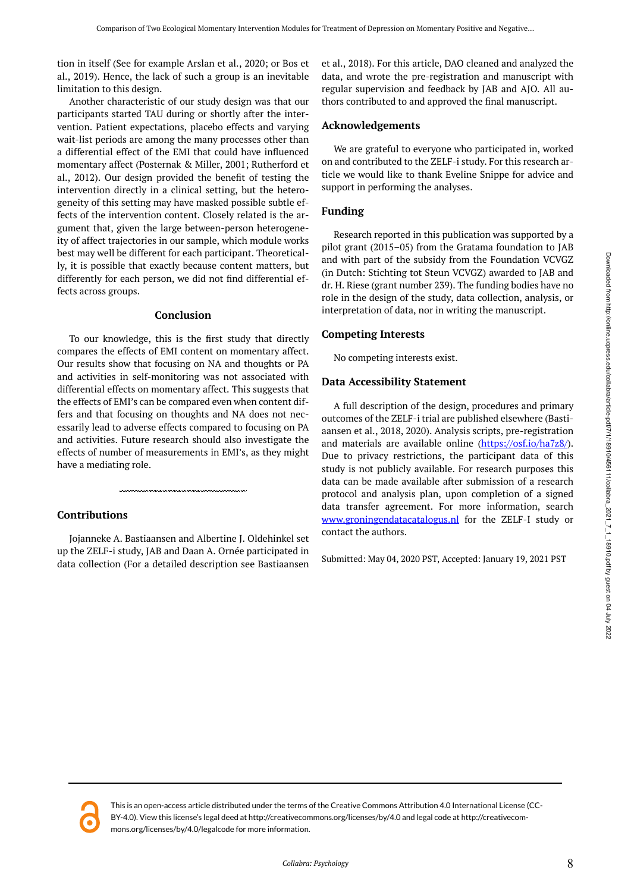tion in itself (See for example Arslan et al., 2020; or Bos et al., 2019). Hence, the lack of such a group is an inevitable limitation to this design.

Another characteristic of our study design was that our participants started TAU during or shortly after the intervention. Patient expectations, placebo effects and varying wait-list periods are among the many processes other than a differential effect of the EMI that could have influenced momentary affect (Posternak & Miller, 2001; Rutherford et al., 2012). Our design provided the benefit of testing the intervention directly in a clinical setting, but the heterogeneity of this setting may have masked possible subtle effects of the intervention content. Closely related is the argument that, given the large between-person heterogeneity of affect trajectories in our sample, which module works best may well be different for each participant. Theoretically, it is possible that exactly because content matters, but differently for each person, we did not find differential effects across groups.

#### **Conclusion**

To our knowledge, this is the first study that directly compares the effects of EMI content on momentary affect. Our results show that focusing on NA and thoughts or PA and activities in self-monitoring was not associated with differential effects on momentary affect. This suggests that the effects of EMI's can be compared even when content differs and that focusing on thoughts and NA does not necessarily lead to adverse effects compared to focusing on PA and activities. Future research should also investigate the effects of number of measurements in EMI's, as they might have a mediating role.

#### **Contributions**

Jojanneke A. Bastiaansen and Albertine J. Oldehinkel set up the ZELF-i study, JAB and Daan A. Ornée participated in data collection (For a detailed description see Bastiaansen et al., 2018). For this article, DAO cleaned and analyzed the data, and wrote the pre-registration and manuscript with regular supervision and feedback by JAB and AJO. All authors contributed to and approved the final manuscript.

#### **Acknowledgements**

We are grateful to everyone who participated in, worked on and contributed to the ZELF-i study. For this research article we would like to thank Eveline Snippe for advice and support in performing the analyses.

#### **Funding**

Research reported in this publication was supported by a pilot grant (2015–05) from the Gratama foundation to JAB and with part of the subsidy from the Foundation VCVGZ (in Dutch: Stichting tot Steun VCVGZ) awarded to JAB and dr. H. Riese (grant number 239). The funding bodies have no role in the design of the study, data collection, analysis, or interpretation of data, nor in writing the manuscript.

#### **Competing Interests**

No competing interests exist.

#### **Data Accessibility Statement**

A full description of the design, procedures and primary outcomes of the ZELF-i trial are published elsewhere (Bastiaansen et al., 2018, 2020). Analysis scripts, pre-registration and materials are available online [\(https://osf.io/ha7z8/\)](https://osf.io/ha7z8/). Due to privacy restrictions, the participant data of this study is not publicly available. For research purposes this data can be made available after submission of a research protocol and analysis plan, upon completion of a signed data transfer agreement. For more information, search [www.groningendatacatalogus.nl](http://www.groningendatacatalogus.nl/) for the ZELF-I study or contact the authors.

Submitted: May 04, 2020 PST, Accepted: January 19, 2021 PST

This is an open-access article distributed under the terms of the Creative Commons Attribution 4.0 International License (CC-BY-4.0). View this license's legal deed at http://creativecommons.org/licenses/by/4.0 and legal code at http://creativecommons.org/licenses/by/4.0/legalcode for more information.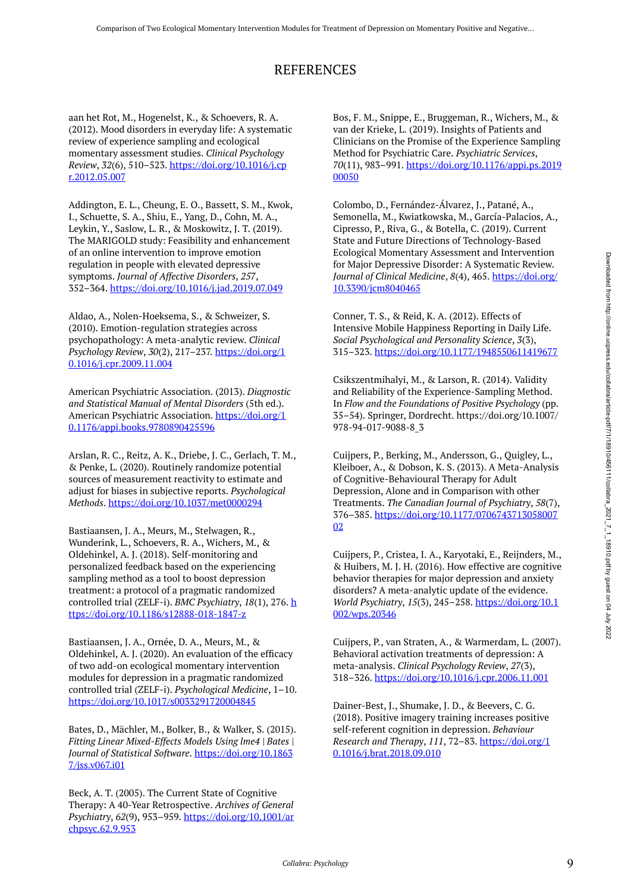### REFERENCES

aan het Rot, M., Hogenelst, K., & Schoevers, R. A. (2012). Mood disorders in everyday life: A systematic review of experience sampling and ecological momentary assessment studies. *Clinical Psychology Review*, *32*(6), 510–523. [https://doi.org/10.1016/j.cp](https://doi.org/10.1016/j.cpr.2012.05.007) [r.2012.05.007](https://doi.org/10.1016/j.cpr.2012.05.007) 

Addington, E. L., Cheung, E. O., Bassett, S. M., Kwok, I., Schuette, S. A., Shiu, E., Yang, D., Cohn, M. A., Leykin, Y., Saslow, L. R., & Moskowitz, J. T. (2019). The MARIGOLD study: Feasibility and enhancement of an online intervention to improve emotion regulation in people with elevated depressive symptoms. *Journal of Affective Disorders*, *257*, 352–364. <https://doi.org/10.1016/j.jad.2019.07.049>

Aldao, A., Nolen-Hoeksema, S., & Schweizer, S. (2010). Emotion-regulation strategies across psychopathology: A meta-analytic review. *Clinical Psychology Review*, *30*(2), 217–237. [https://doi.org/1](https://doi.org/10.1016/j.cpr.2009.11.004) [0.1016/j.cpr.2009.11.004](https://doi.org/10.1016/j.cpr.2009.11.004) 

American Psychiatric Association. (2013). *Diagnostic and Statistical Manual of Mental Disorders* (5th ed.). American Psychiatric Association. [https://doi.org/1](https://doi.org/10.1176/appi.books.9780890425596) [0.1176/appi.books.9780890425596](https://doi.org/10.1176/appi.books.9780890425596) 

Arslan, R. C., Reitz, A. K., Driebe, J. C., Gerlach, T. M., & Penke, L. (2020). Routinely randomize potential sources of measurement reactivity to estimate and adjust for biases in subjective reports. *Psychological Methods*.<https://doi.org/10.1037/met0000294>

Bastiaansen, J. A., Meurs, M., Stelwagen, R., Wunderink, L., Schoevers, R. A., Wichers, M., & Oldehinkel, A. J. (2018). Self-monitoring and personalized feedback based on the experiencing sampling method as a tool to boost depression treatment: a protocol of a pragmatic randomized controlled trial (ZELF-i). *BMC Psychiatry*, *18*(1), 276. [h](https://doi.org/10.1186/s12888-018-1847-z) [ttps://doi.org/10.1186/s12888-018-1847-z](https://doi.org/10.1186/s12888-018-1847-z)

Bastiaansen, J. A., Ornée, D. A., Meurs, M., & Oldehinkel, A. J. (2020). An evaluation of the efficacy of two add-on ecological momentary intervention modules for depression in a pragmatic randomized controlled trial (ZELF-i). *Psychological Medicine*, 1–10. <https://doi.org/10.1017/s0033291720004845>

Bates, D., Mächler, M., Bolker, B., & Walker, S. (2015). *Fitting Linear Mixed-Effects Models Using lme4 | Bates | Journal of Statistical Software*. [https://doi.org/10.1863](https://doi.org/10.18637/jss.v067.i01) [7/jss.v067.i01](https://doi.org/10.18637/jss.v067.i01)

Beck, A. T. (2005). The Current State of Cognitive Therapy: A 40-Year Retrospective. *Archives of General Psychiatry*, *62*(9), 953–959. [https://doi.org/10.1001/ar](https://doi.org/10.1001/archpsyc.62.9.953) [chpsyc.62.9.953](https://doi.org/10.1001/archpsyc.62.9.953)

Bos, F. M., Snippe, E., Bruggeman, R., Wichers, M., & van der Krieke, L. (2019). Insights of Patients and Clinicians on the Promise of the Experience Sampling Method for Psychiatric Care. *Psychiatric Services*, *70*(11), 983–991. [https://doi.org/10.1176/appi.ps.2019](https://doi.org/10.1176/appi.ps.201900050) [00050](https://doi.org/10.1176/appi.ps.201900050)

Colombo, D., Fernández-Álvarez, J., Patané, A., Semonella, M., Kwiatkowska, M., García-Palacios, A., Cipresso, P., Riva, G., & Botella, C. (2019). Current State and Future Directions of Technology-Based Ecological Momentary Assessment and Intervention for Major Depressive Disorder: A Systematic Review. *Journal of Clinical Medicine*, *8*(4), 465. [https://doi.org/](https://doi.org/10.3390/jcm8040465) [10.3390/jcm8040465](https://doi.org/10.3390/jcm8040465) 

Conner, T. S., & Reid, K. A. (2012). Effects of Intensive Mobile Happiness Reporting in Daily Life. *Social Psychological and Personality Science*, *3*(3), 315–323. <https://doi.org/10.1177/1948550611419677>

Csikszentmihalyi, M., & Larson, R. (2014). Validity and Reliability of the Experience-Sampling Method. In *Flow and the Foundations of Positive Psychology* (pp. 35–54). Springer, Dordrecht. https://doi.org/10.1007/ 978-94-017-9088-8\_3

Cuijpers, P., Berking, M., Andersson, G., Quigley, L., Kleiboer, A., & Dobson, K. S. (2013). A Meta-Analysis of Cognitive-Behavioural Therapy for Adult Depression, Alone and in Comparison with other Treatments. *The Canadian Journal of Psychiatry*, *58*(7), 376–385. [https://doi.org/10.1177/0706743713058007](https://doi.org/10.1177/070674371305800702) [02](https://doi.org/10.1177/070674371305800702)

Cuijpers, P., Cristea, I. A., Karyotaki, E., Reijnders, M., & Huibers, M. J. H. (2016). How effective are cognitive behavior therapies for major depression and anxiety disorders? A meta-analytic update of the evidence. *World Psychiatry*, *15*(3), 245–258. [https://doi.org/10.1](https://doi.org/10.1002/wps.20346) [002/wps.20346](https://doi.org/10.1002/wps.20346) 

Cuijpers, P., van Straten, A., & Warmerdam, L. (2007). Behavioral activation treatments of depression: A meta-analysis. *Clinical Psychology Review*, *27*(3), 318–326. <https://doi.org/10.1016/j.cpr.2006.11.001>

Dainer-Best, J., Shumake, J. D., & Beevers, C. G. (2018). Positive imagery training increases positive self-referent cognition in depression. *Behaviour Research and Therapy*, *111*, 72–83. [https://doi.org/1](https://doi.org/10.1016/j.brat.2018.09.010) [0.1016/j.brat.2018.09.010](https://doi.org/10.1016/j.brat.2018.09.010)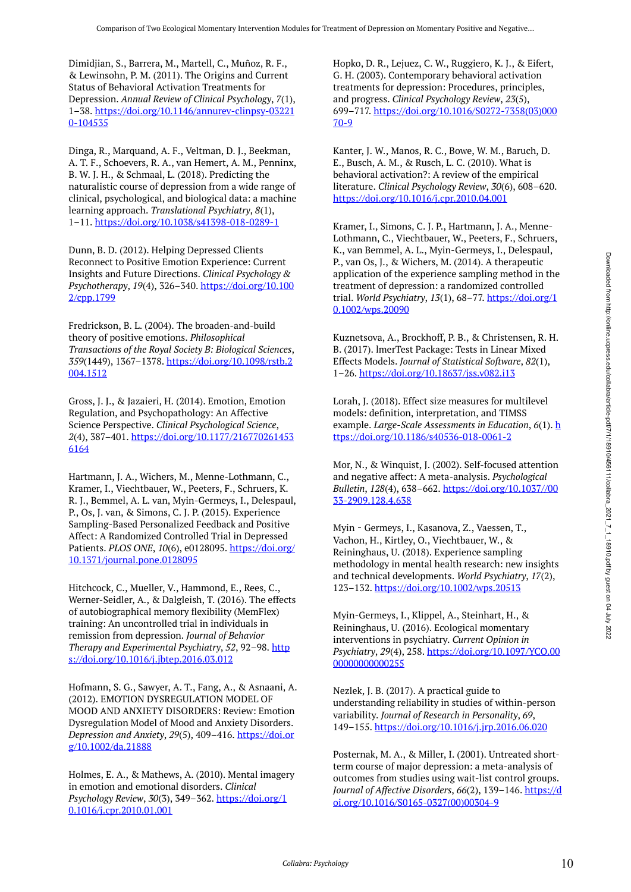Dimidjian, S., Barrera, M., Martell, C., Muñoz, R. F., & Lewinsohn, P. M. (2011). The Origins and Current Status of Behavioral Activation Treatments for Depression. *Annual Review of Clinical Psychology*, *7*(1), 1–38. [https://doi.org/10.1146/annurev-clinpsy-03221](https://doi.org/10.1146/annurev-clinpsy-032210-104535) [0-104535](https://doi.org/10.1146/annurev-clinpsy-032210-104535)

Dinga, R., Marquand, A. F., Veltman, D. J., Beekman, A. T. F., Schoevers, R. A., van Hemert, A. M., Penninx, B. W. J. H., & Schmaal, L. (2018). Predicting the naturalistic course of depression from a wide range of clinical, psychological, and biological data: a machine learning approach. *Translational Psychiatry*, *8*(1), 1–11. <https://doi.org/10.1038/s41398-018-0289-1>

Dunn, B. D. (2012). Helping Depressed Clients Reconnect to Positive Emotion Experience: Current Insights and Future Directions. *Clinical Psychology & Psychotherapy*, *19*(4), 326–340. [https://doi.org/10.100](https://doi.org/10.1002/cpp.1799) [2/cpp.1799](https://doi.org/10.1002/cpp.1799) 

Fredrickson, B. L. (2004). The broaden-and-build theory of positive emotions. *Philosophical Transactions of the Royal Society B: Biological Sciences*, *359*(1449), 1367–1378. [https://doi.org/10.1098/rstb.2](https://doi.org/10.1098/rstb.2004.1512) [004.1512](https://doi.org/10.1098/rstb.2004.1512) 

Gross, J. J., & Jazaieri, H. (2014). Emotion, Emotion Regulation, and Psychopathology: An Affective Science Perspective. *Clinical Psychological Science*, *2*(4), 387–401. [https://doi.org/10.1177/216770261453](https://doi.org/10.1177/2167702614536164) [6164](https://doi.org/10.1177/2167702614536164) 

Hartmann, J. A., Wichers, M., Menne-Lothmann, C., Kramer, I., Viechtbauer, W., Peeters, F., Schruers, K. R. J., Bemmel, A. L. van, Myin-Germeys, I., Delespaul, P., Os, J. van, & Simons, C. J. P. (2015). Experience Sampling-Based Personalized Feedback and Positive Affect: A Randomized Controlled Trial in Depressed Patients. *PLOS ONE*, *10*(6), e0128095. [https://doi.org/](https://doi.org/10.1371/journal.pone.0128095) [10.1371/journal.pone.0128095](https://doi.org/10.1371/journal.pone.0128095) 

Hitchcock, C., Mueller, V., Hammond, E., Rees, C., Werner-Seidler, A., & Dalgleish, T. (2016). The effects of autobiographical memory flexibility (MemFlex) training: An uncontrolled trial in individuals in remission from depression. *Journal of Behavior Therapy and Experimental Psychiatry, 52, 92-98.* [http](https://doi.org/10.1016/j.jbtep.2016.03.012) [s://doi.org/10.1016/j.jbtep.2016.03.012](https://doi.org/10.1016/j.jbtep.2016.03.012) 

Hofmann, S. G., Sawyer, A. T., Fang, A., & Asnaani, A. (2012). EMOTION DYSREGULATION MODEL OF MOOD AND ANXIETY DISORDERS: Review: Emotion Dysregulation Model of Mood and Anxiety Disorders. *Depression and Anxiety*, *29*(5), 409–416. [https://doi.or](https://doi.org/10.1002/da.21888) [g/10.1002/da.21888](https://doi.org/10.1002/da.21888)

Holmes, E. A., & Mathews, A. (2010). Mental imagery in emotion and emotional disorders. *Clinical Psychology Review*, *30*(3), 349–362. [https://doi.org/1](https://doi.org/10.1016/j.cpr.2010.01.001) [0.1016/j.cpr.2010.01.001](https://doi.org/10.1016/j.cpr.2010.01.001) 

Hopko, D. R., Lejuez, C. W., Ruggiero, K. J., & Eifert, G. H. (2003). Contemporary behavioral activation treatments for depression: Procedures, principles, and progress. *Clinical Psychology Review*, *23*(5), 699–717. [https://doi.org/10.1016/S0272-7358\(03\)000](https://doi.org/10.1016/S0272-7358(03)00070-9) [70-9](https://doi.org/10.1016/S0272-7358(03)00070-9) 

Kanter, J. W., Manos, R. C., Bowe, W. M., Baruch, D. E., Busch, A. M., & Rusch, L. C. (2010). What is behavioral activation?: A review of the empirical literature. *Clinical Psychology Review*, *30*(6), 608–620. <https://doi.org/10.1016/j.cpr.2010.04.001>

Kramer, I., Simons, C. J. P., Hartmann, J. A., Menne-Lothmann, C., Viechtbauer, W., Peeters, F., Schruers, K., van Bemmel, A. L., Myin-Germeys, I., Delespaul, P., van Os, J., & Wichers, M. (2014). A therapeutic application of the experience sampling method in the treatment of depression: a randomized controlled trial. *World Psychiatry*, *13*(1), 68–77. [https://doi.org/1](https://doi.org/10.1002/wps.20090) [0.1002/wps.20090](https://doi.org/10.1002/wps.20090)

Kuznetsova, A., Brockhoff, P. B., & Christensen, R. H. B. (2017). lmerTest Package: Tests in Linear Mixed Effects Models. *Journal of Statistical Software*, *82*(1), 1–26.<https://doi.org/10.18637/jss.v082.i13>

Lorah, J. (2018). Effect size measures for multilevel models: definition, interpretation, and TIMSS example. *Large-Scale Assessments in Education*, *6*(1). [h](https://doi.org/10.1186/s40536-018-0061-2) [ttps://doi.org/10.1186/s40536-018-0061-2](https://doi.org/10.1186/s40536-018-0061-2) 

Mor, N., & Winquist, J. (2002). Self-focused attention and negative affect: A meta-analysis. *Psychological Bulletin*, *128*(4), 638–662. [https://doi.org/10.1037//00](https://doi.org/10.1037//0033-2909.128.4.638) [33-2909.128.4.638](https://doi.org/10.1037//0033-2909.128.4.638)

Myin‐Germeys, I., Kasanova, Z., Vaessen, T., Vachon, H., Kirtley, O., Viechtbauer, W., & Reininghaus, U. (2018). Experience sampling methodology in mental health research: new insights and technical developments. *World Psychiatry*, *17*(2), 123–132. <https://doi.org/10.1002/wps.20513>

Myin-Germeys, I., Klippel, A., Steinhart, H., & Reininghaus, U. (2016). Ecological momentary interventions in psychiatry. *Current Opinion in Psychiatry*, *29*(4), 258. [https://doi.org/10.1097/YCO.00](https://doi.org/10.1097/YCO.0000000000000255) 00000000000255

Nezlek, J. B. (2017). A practical guide to understanding reliability in studies of within-person variability. *Journal of Research in Personality*, *69*, 149–155. <https://doi.org/10.1016/j.jrp.2016.06.020>

Posternak, M. A., & Miller, I. (2001). Untreated shortterm course of major depression: a meta-analysis of outcomes from studies using wait-list control groups. *Journal of Affective Disorders*, *66*(2), 139–146. [https://d](https://doi.org/10.1016/S0165-0327(00)00304-9) [oi.org/10.1016/S0165-0327\(00\)00304-9](https://doi.org/10.1016/S0165-0327(00)00304-9)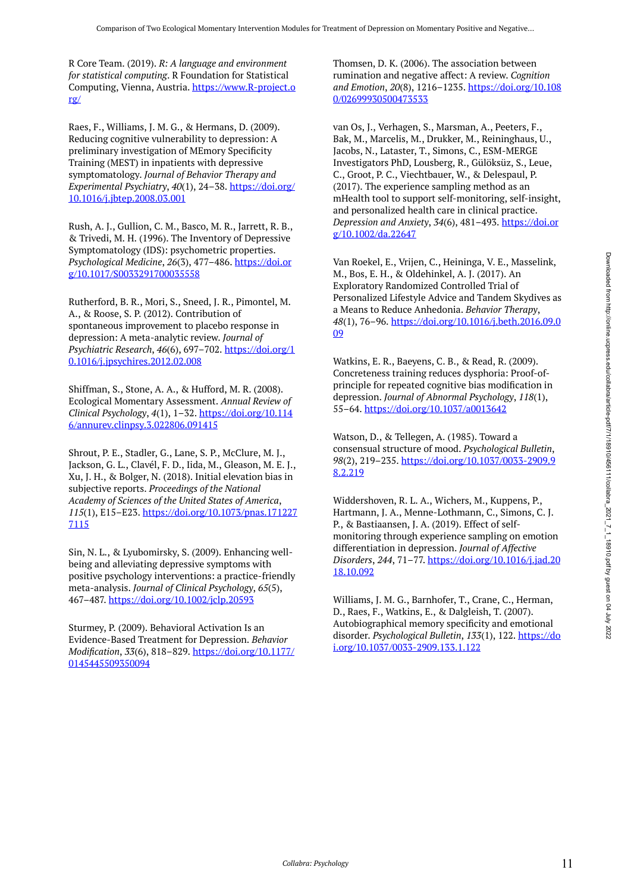R Core Team. (2019). *R: A language and environment for statistical computing*. R Foundation for Statistical Computing, Vienna, Austria. [https://www.R-project.o](https://www.r-project.org/) [rg/](https://www.r-project.org/)

Raes, F., Williams, J. M. G., & Hermans, D. (2009). Reducing cognitive vulnerability to depression: A preliminary investigation of MEmory Specificity Training (MEST) in inpatients with depressive symptomatology. *Journal of Behavior Therapy and Experimental Psychiatry*, *40*(1), 24–38. [https://doi.org/](https://doi.org/10.1016/j.jbtep.2008.03.001) [10.1016/j.jbtep.2008.03.001](https://doi.org/10.1016/j.jbtep.2008.03.001)

Rush, A. J., Gullion, C. M., Basco, M. R., Jarrett, R. B., & Trivedi, M. H. (1996). The Inventory of Depressive Symptomatology (IDS): psychometric properties. *Psychological Medicine*, *26*(3), 477–486. [https://doi.or](https://doi.org/10.1017/S0033291700035558) [g/10.1017/S0033291700035558](https://doi.org/10.1017/S0033291700035558) 

Rutherford, B. R., Mori, S., Sneed, J. R., Pimontel, M. A., & Roose, S. P. (2012). Contribution of spontaneous improvement to placebo response in depression: A meta-analytic review. *Journal of Psychiatric Research*, *46*(6), 697–702. [https://doi.org/1](https://doi.org/10.1016/j.jpsychires.2012.02.008) [0.1016/j.jpsychires.2012.02.008](https://doi.org/10.1016/j.jpsychires.2012.02.008)

Shiffman, S., Stone, A. A., & Hufford, M. R. (2008). Ecological Momentary Assessment. *Annual Review of Clinical Psychology*, *4*(1), 1–32. [https://doi.org/10.114](https://doi.org/10.1146/annurev.clinpsy.3.022806.091415) [6/annurev.clinpsy.3.022806.091415](https://doi.org/10.1146/annurev.clinpsy.3.022806.091415) 

Shrout, P. E., Stadler, G., Lane, S. P., McClure, M. J., Jackson, G. L., Clavél, F. D., Iida, M., Gleason, M. E. J., Xu, J. H., & Bolger, N. (2018). Initial elevation bias in subjective reports. *Proceedings of the National Academy of Sciences of the United States of America*, *115*(1), E15–E23. [https://doi.org/10.1073/pnas.171227](https://doi.org/10.1073/pnas.1712277115) [7115](https://doi.org/10.1073/pnas.1712277115) 

Sin, N. L., & Lyubomirsky, S. (2009). Enhancing wellbeing and alleviating depressive symptoms with positive psychology interventions: a practice-friendly meta-analysis. *Journal of Clinical Psychology*, *65*(5), 467–487. <https://doi.org/10.1002/jclp.20593>

Sturmey, P. (2009). Behavioral Activation Is an Evidence-Based Treatment for Depression. *Behavior Modification*, *33*(6), 818–829. [https://doi.org/10.1177/](https://doi.org/10.1177/0145445509350094) [0145445509350094](https://doi.org/10.1177/0145445509350094) 

Thomsen, D. K. (2006). The association between rumination and negative affect: A review. *Cognition and Emotion*, *20*(8), 1216–1235. [https://doi.org/10.108](https://doi.org/10.1080/02699930500473533) [0/02699930500473533](https://doi.org/10.1080/02699930500473533) 

van Os, J., Verhagen, S., Marsman, A., Peeters, F., Bak, M., Marcelis, M., Drukker, M., Reininghaus, U., Jacobs, N., Lataster, T., Simons, C., ESM-MERGE Investigators PhD, Lousberg, R., Gülöksüz, S., Leue, C., Groot, P. C., Viechtbauer, W., & Delespaul, P. (2017). The experience sampling method as an mHealth tool to support self-monitoring, self-insight, and personalized health care in clinical practice. *Depression and Anxiety*, *34*(6), 481–493. [https://doi.or](https://doi.org/10.1002/da.22647) [g/10.1002/da.22647](https://doi.org/10.1002/da.22647) 

Van Roekel, E., Vrijen, C., Heininga, V. E., Masselink, M., Bos, E. H., & Oldehinkel, A. J. (2017). An Exploratory Randomized Controlled Trial of Personalized Lifestyle Advice and Tandem Skydives as a Means to Reduce Anhedonia. *Behavior Therapy*, *48*(1), 76–96. [https://doi.org/10.1016/j.beth.2016.09.0](https://doi.org/10.1016/j.beth.2016.09.009) [09](https://doi.org/10.1016/j.beth.2016.09.009)

Watkins, E. R., Baeyens, C. B., & Read, R. (2009). Concreteness training reduces dysphoria: Proof-ofprinciple for repeated cognitive bias modification in depression. *Journal of Abnormal Psychology*, *118*(1), 55–64. <https://doi.org/10.1037/a0013642>

Watson, D., & Tellegen, A. (1985). Toward a consensual structure of mood. *Psychological Bulletin*, *98*(2), 219–235. [https://doi.org/10.1037/0033-2909.9](https://doi.org/10.1037/0033-2909.98.2.219) [8.2.219](https://doi.org/10.1037/0033-2909.98.2.219)

Widdershoven, R. L. A., Wichers, M., Kuppens, P., Hartmann, J. A., Menne-Lothmann, C., Simons, C. J. P., & Bastiaansen, J. A. (2019). Effect of selfmonitoring through experience sampling on emotion differentiation in depression. *Journal of Affective Disorders*, *244*, 71–77. [https://doi.org/10.1016/j.jad.20](https://doi.org/10.1016/j.jad.2018.10.092) [18.10.092](https://doi.org/10.1016/j.jad.2018.10.092)

Williams, J. M. G., Barnhofer, T., Crane, C., Herman, D., Raes, F., Watkins, E., & Dalgleish, T. (2007). Autobiographical memory specificity and emotional disorder. *Psychological Bulletin*, *133*(1), 122. [https://do](https://doi.org/10.1037/0033-2909.133.1.122) [i.org/10.1037/0033-2909.133.1.122](https://doi.org/10.1037/0033-2909.133.1.122)